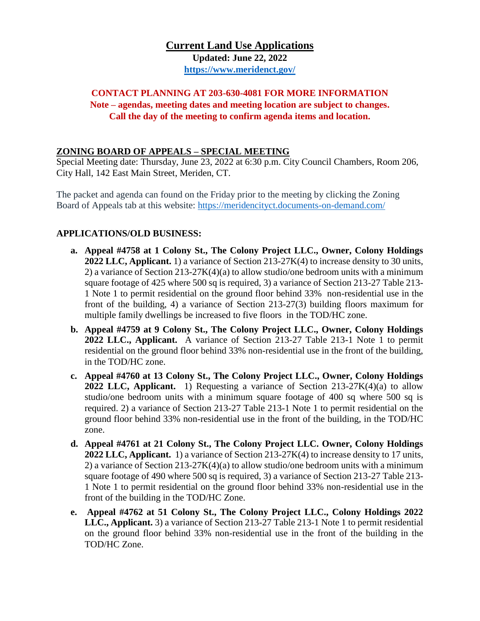# **Current Land Use Applications Updated: June 22, 2022 <https://www.meridenct.gov/>**

## **CONTACT PLANNING AT 203-630-4081 FOR MORE INFORMATION Note – agendas, meeting dates and meeting location are subject to changes. Call the day of the meeting to confirm agenda items and location.**

### **ZONING BOARD OF APPEALS – SPECIAL MEETING**

Special Meeting date: Thursday, June 23, 2022 at 6:30 p.m. City Council Chambers, Room 206, City Hall, 142 East Main Street, Meriden, CT.

The packet and agenda can found on the Friday prior to the meeting by clicking the Zoning Board of Appeals tab at this website:<https://meridencityct.documents-on-demand.com/>

## **APPLICATIONS/OLD BUSINESS:**

- **a. Appeal #4758 at 1 Colony St., The Colony Project LLC., Owner, Colony Holdings 2022 LLC, Applicant.** 1) a variance of Section 213-27K(4) to increase density to 30 units, 2) a variance of Section 213-27K(4)(a) to allow studio/one bedroom units with a minimum square footage of 425 where 500 sq is required, 3) a variance of Section 213-27 Table 213- 1 Note 1 to permit residential on the ground floor behind 33% non-residential use in the front of the building, 4) a variance of Section 213-27(3) building floors maximum for multiple family dwellings be increased to five floors in the TOD/HC zone.
- **b. Appeal #4759 at 9 Colony St., The Colony Project LLC., Owner, Colony Holdings 2022 LLC., Applicant.** A variance of Section 213-27 Table 213-1 Note 1 to permit residential on the ground floor behind 33% non-residential use in the front of the building, in the TOD/HC zone.
- **c. Appeal #4760 at 13 Colony St., The Colony Project LLC., Owner, Colony Holdings 2022 LLC, Applicant.** 1) Requesting a variance of Section 213-27K(4)(a) to allow studio/one bedroom units with a minimum square footage of 400 sq where 500 sq is required. 2) a variance of Section 213-27 Table 213-1 Note 1 to permit residential on the ground floor behind 33% non-residential use in the front of the building, in the TOD/HC zone.
- **d. Appeal #4761 at 21 Colony St., The Colony Project LLC. Owner, Colony Holdings 2022 LLC, Applicant.** 1) a variance of Section 213-27K(4) to increase density to 17 units, 2) a variance of Section 213-27K(4)(a) to allow studio/one bedroom units with a minimum square footage of 490 where 500 sq is required, 3) a variance of Section 213-27 Table 213- 1 Note 1 to permit residential on the ground floor behind 33% non-residential use in the front of the building in the TOD/HC Zone.
- **e. Appeal #4762 at 51 Colony St., The Colony Project LLC., Colony Holdings 2022 LLC., Applicant.** 3) a variance of Section 213-27 Table 213-1 Note 1 to permit residential on the ground floor behind 33% non-residential use in the front of the building in the TOD/HC Zone.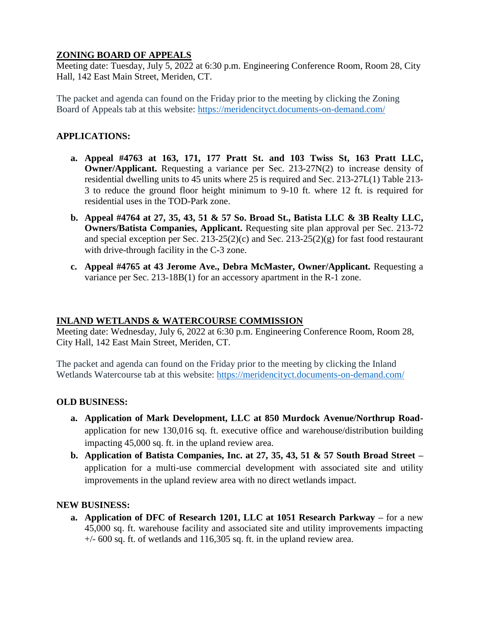## **ZONING BOARD OF APPEALS**

Meeting date: Tuesday, July 5, 2022 at 6:30 p.m. Engineering Conference Room, Room 28, City Hall, 142 East Main Street, Meriden, CT.

The packet and agenda can found on the Friday prior to the meeting by clicking the Zoning Board of Appeals tab at this website:<https://meridencityct.documents-on-demand.com/>

### **APPLICATIONS:**

- **a. Appeal #4763 at 163, 171, 177 Pratt St. and 103 Twiss St, 163 Pratt LLC, Owner/Applicant.** Requesting a variance per Sec. 213-27N(2) to increase density of residential dwelling units to 45 units where 25 is required and Sec. 213-27L(1) Table 213- 3 to reduce the ground floor height minimum to 9-10 ft. where 12 ft. is required for residential uses in the TOD-Park zone.
- **b. Appeal #4764 at 27, 35, 43, 51 & 57 So. Broad St., Batista LLC & 3B Realty LLC, Owners/Batista Companies, Applicant.** Requesting site plan approval per Sec. 213-72 and special exception per Sec. 213-25(2)(c) and Sec. 213-25(2)(g) for fast food restaurant with drive-through facility in the C-3 zone.
- **c. Appeal #4765 at 43 Jerome Ave., Debra McMaster, Owner/Applicant.** Requesting a variance per Sec. 213-18B(1) for an accessory apartment in the R-1 zone.

#### **INLAND WETLANDS & WATERCOURSE COMMISSION**

Meeting date: Wednesday, July 6, 2022 at 6:30 p.m. Engineering Conference Room, Room 28, City Hall, 142 East Main Street, Meriden, CT.

The packet and agenda can found on the Friday prior to the meeting by clicking the Inland Wetlands Watercourse tab at this website:<https://meridencityct.documents-on-demand.com/>

#### **OLD BUSINESS:**

- **a. Application of Mark Development, LLC at 850 Murdock Avenue/Northrup Road**application for new 130,016 sq. ft. executive office and warehouse/distribution building impacting 45,000 sq. ft. in the upland review area.
- **b. Application of Batista Companies, Inc. at 27, 35, 43, 51 & 57 South Broad Street –** application for a multi-use commercial development with associated site and utility improvements in the upland review area with no direct wetlands impact.

#### **NEW BUSINESS:**

**a. Application of DFC of Research 1201, LLC at 1051 Research Parkway –** for a new 45,000 sq. ft. warehouse facility and associated site and utility improvements impacting  $+/-$  600 sq. ft. of wetlands and 116,305 sq. ft. in the upland review area.